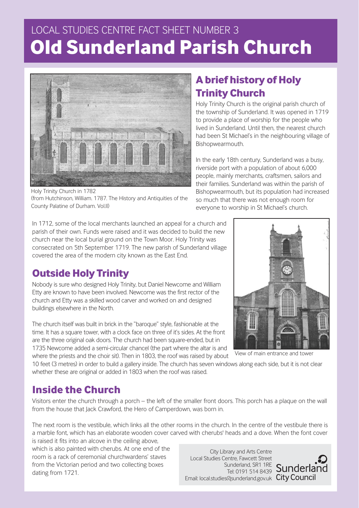# LOCAL STUDIES CENTRE FACT SHEET NUMBER 3 **Old Sunderland Parish Church**



Holy Trinity Church in 1782 (from Hutchinson, William. 1787. The History and Antiquities of the County Palatine of Durham. Vol.II)

In 1712, some of the local merchants launched an appeal for a church and parish of their own. Funds were raised and it was decided to build the new church near the local burial ground on the Town Moor. Holy Trinity was consecrated on 5th September 1719. The new parish of Sunderland village covered the area of the modern city known as the East End.

## **Outside Holy Trinity**

Nobody is sure who designed Holy Trinity, but Daniel Newcome and William Etty are known to have been involved. Newcome was the first rector of the church and Etty was a skilled wood carver and worked on and designed buildings elsewhere in the North.

The church itself was built in brick in the "baroque" style, fashionable at the time. It has a square tower, with a clock face on three of it's sides. At the front are the three original oak doors. The church had been square-ended, but in 1735 Newcome added a semi-circular chancel (the part where the altar is and where the priests and the choir sit). Then in 1803, the roof was raised by about

10 feet (3 metres) in order to build a gallery inside. The church has seven windows along each side, but it is not clear whether these are original or added in 1803 when the roof was raised.

### **Inside the Church**

Visitors enter the church through a porch – the left of the smaller front doors. This porch has a plaque on the wall from the house that Jack Crawford, the Hero of Camperdown, was born in.

The next room is the vestibule, which links all the other rooms in the church. In the centre of the vestibule there is a marble font, which has an elaborate wooden cover carved with cherubs' heads and a dove. When the font cover is raised it fits into an alcove in the ceiling above,

which is also painted with cherubs. At one end of the room is a rack of ceremonial churchwardens' staves from the Victorian period and two collecting boxes dating from 1721.

City Library and Arts Centre Local Studies Centre, Fawcett Street Sunderland, SR1 1RE Tel: 0191 514 8439 Email: local.studies@sunderland.gov.uk City Council



In the early 18th century, Sunderland was a busy, riverside port with a population of about 6,000 people, mainly merchants, craftsmen, sailors and their families. Sunderland was within the parish of Bishopwearmouth, but its population had increased so much that there was not enough room for everyone to worship in St Michael's church.



View of main entrance and tower